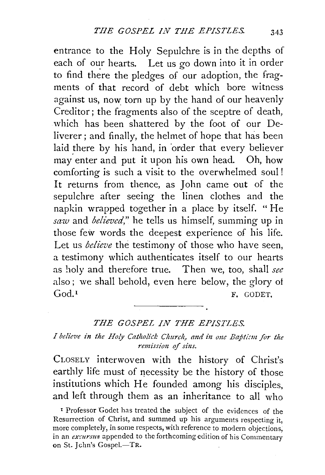entrance to the Holy Sepulchre is in the depths of each of our hearts. Let us go down into it in order to find there the pledges of our adoption, the fragments of that record of debt which bore witness against us, now torn up by the hand of our heavenly Creditor; the fragments also of the sceptre of death, which has been shattered by the foot of our Deliverer ; and finally, the helmet of hope that has been laid there by his hand, in order that every believer may' enter and put it upon his own head. Oh, how comforting is such a visit to the overwhelmed soul ! It returns from thence, as John came out of the sepulchre after seeing the linen clothes and the napkin wrapped together in a place by itself. " He *saw* and *believed,"* he tells us himself, summing up in those few words the deepest experience of his life. Let us *believe* the testimony of those who have seen, a testimony which authenticates itself to our hearts as holy and therefore true. Then we, too, shall *see*  also ; we shall behold, even here below, the glory of God.<sup>1</sup> F. GODET.

## *THE GOSPEL IN THE EPISTLES.*

## *I believe in the Holy Catholick Church, and in one Baptism for the remission of sins.*

CLOSELY interwoven with the history of Christ's earthly life must of necessity be the history of those institutions which He founded among his disciples, and left through them as an inheritance to all who

1 Professor Godet has treated the subject of the evidences of the Resurrection of Christ, and summed up his arguments respecting it, more completely, in some respects, with reference to modern objections, in an *externsus* appended to the forthcoming edition of his Commentary on St. Jchn's Gospel.-TR.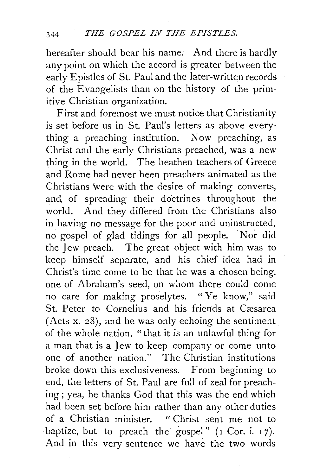hereafter should bear his name. And there is hardly any point on which the accord is greater between the early Epistles of St. Paul and the later-written records of the Evangelists than on the history of the primitive Christian organization.

First and foremost we must notice that Christianity is set before us in St. Paul's letters as above everything a preaching institution. Now preaching, as Christ and the early Christians preached, was a new thing in the world. The heathen teachers of Greece and Rome had never been preachers animated as the Christians 'were with the desire of making converts, and of spreading their doctrines throughout the world. And they differed from the Christians also in having no message for the poor and uninstructed, no gospel of glad tidings for all people. . Nor did the Jew preach. The great object with him was to keep himself separate, and his chief idea had in Christ's time come to be that he was a chosen being. one of Abraham's seed, on whom there could come no care for making proselytes. " Ye know," said St. Peter to Cornelius and his friends at Cæsarea (Acts x. 28), and he was only echoing the sentiment of the whole nation, "that it is an unlawful thing for a man that is a Jew to keep company or come unto one of another nation." The Christian institutions broke down this exclusiveness. From beginning to end, the letters of St. Paul are full of zeal for preaching; yea, he thanks God that this was the end which had been set before him rather than any other duties of a Christian minister. " Christ sent me not to baptize, but to preach the gospel" (I Cor. i. 17). And in this very sentence we have the two words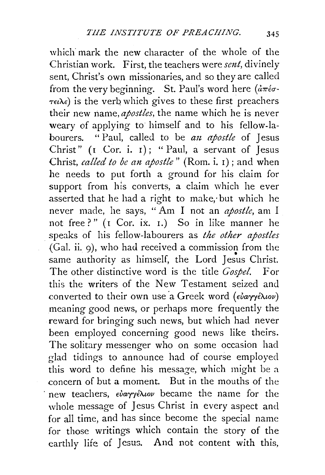which mark the new character of the whole of the Christian work. First, the teachers were *sent,* divinely sent, Christ's own missionaries, and so they are called from the very beginning. St. Paul's word here  $(a\pi\epsilon\sigma \tau \in \lambda \epsilon$ ) is the verb which gives to these first preachers their new name, *apostles,* the name which he is never weary of applying to himself and to his fellow-labourers. " Paul, called to be *an apostle* of Jesus Christ"  $(I \nvert \text{Cor. } i. I);$  " Paul, a servant of Jesus Christ, *called to be an apostle"* (Rom. i. 1) ; and when he needs to put forth a ground for his claim for support from his converts, a claim which he ever asserted that he had a right to make; but which he never made, he says, " Am I not an *apostle,* am I not free?" ( $I$  Cor. ix.  $I$ .) So in like manner he speaks of his fellow-labourers as *the other apostles*  (Gal. ii. 9), who had received a commission from the • same authority as himself, the Lord Jesus Christ. The other distinctive word is the title *Gospel.* For this the writers of the New Testament seized and converted to their own use a Greek word (εὐαγγέλιον) meaning good news, or perhaps more frequently the reward for bringing such news, but which had never been employed concerning good news like theirs. The solitary messenger who on some occasion had glad tidings to announce had of course employed this word to define his message, which might be a concern of but a moment. But in the mouths of the new teachers, *εὐαγγέλιον* became the name for the whole message of Jesus Christ in every aspect and for all time, and has since become the special name for those writings which contain the story of the earthly life of Jesus. And not content with this,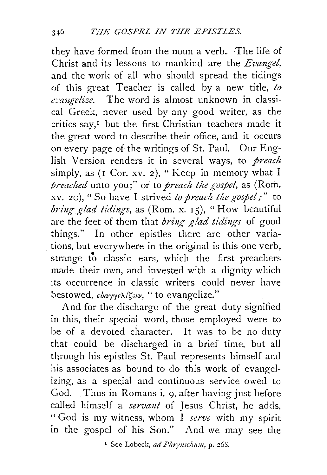they have formed from the noun a verb. The life of Christ and its lessons to mankind are the *Evangel,*  and the work of all who should spread the tidings of this great Teacher is called by a new title, to  $c$ vangelize. The word is almost unknown in classical Greek, never used by any good writer, as the critics say,<sup>1</sup> but the first Christian teachers made it the great word to describe their office, and it occurs on every page of the writings of St. Paul. Our English Version renders it in several ways, to *preach* simply, as (I Cor. xv. 2), "Keep in memory what I *preaclted* unto you;" or to *preach the gospel,* as (Rom. xv. 20), "So have I strived *to preach the gospel*;" to *bring glad tidings*, as (Rom. x. 15), "How beautiful are the feet of them that *bring glad tidings* of good things." In other epistles there are other variations, but everywhere in the original is this one verb, strange to classic ears, which the first preachers made their own, and invested with a dignity which its occurrence in classic writers could never have bestowed,  $\epsilon \nu \nu$   $\epsilon \lambda$   $\epsilon \nu$ , " to evangelize."

And for the discharge of the great duty signified in this, their special word, those employed were to be of a devoted character. It was to be no duty that could be discharged in a brief time, but all through his epistles St. Paul represents himself and his associates as bound to do this work of evangelizing, as a special and continuous service owed to God. Thus in Romans i. 9, after having just before called himself a *servant* of Jesus Christ, he adds, "God is my witness, whom I *serve* with my spirit in the gospel of his Son." And we may see the

1 See Lobeck, *ad Phrymclmm,* p. 26S.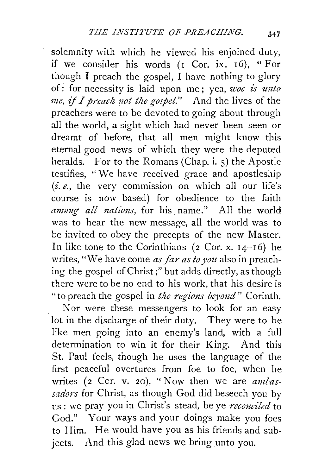solemnity with which he viewed his enjoined duty, if we consider his words  $(I \text{Cor. } ix. 16)$ , "For though I preach the gospel, I have nothing to glory of: for necessity is laid upon me; yea, *woe is unto me, if1 preach rwt the gospel."* And the lives of the preachers were to be devoted to going about through all the world, a sight which had never been seen or dreamt of before, that all men might know this eternal good news of which they were the deputed heralds. For to the Romans (Chap. i. 5) the Apostle testifies, "We have received grace and apostleship  $(i.e., the very commission on which all our life's$ course is now based) for obedience to the faith *anumg all nations,* for his. name." All the world was to hear the new message, all the world was to be invited to obey the precepts of the new Master. In like tone to the Corinthians ( $2$  Cor. x.  $14-16$ ) he writes, "We have come *as \_far as to you* also in preaching the gospel of Christ;" but adds directly, as though there were to be no end to his work, that his desire is "to preach the gospel in *the regions beyond*" Corinth.

Nor were these messengers to look for an easy lot in the discharge of their duty. They were to be like men going into an enemy's land, with a full determination to win it for their King. And this St. Paul feels, though he uses the language of the first peaceful overtures from foe to foe, when he writes (2 Ccr. v. 20), "Now then we are *ambassadors* for Christ, as though God did beseech you. by us: we pray you in Christ's stead, be ye *reconciled* to God." Your ways and your doings make you foes to Him. He would have you as his friends and subjects. And this glad news we bring unto you.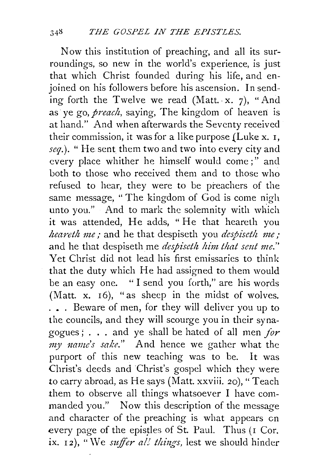Now this institution of preaching, and all its surroundings, so new in the world's experience, is just that which Christ founded during his life, and enjoined on his followers before his ascension. In sending forth the Twelve we read (Matt. x. 7), "And as ye go, *preach,* saying, The kingdom of heaven is at hand." And when afterwards the Seventy received their commission, it was for a like purpose {Luke x. I, *seq.).* "He sent them two and two into every city and every place whither he himself would come;" and both to those who received them and to those who refused to hear, they were to be preachers of the same message, "The kingdom of God is come nigh unto you." And to mark the solemnity with which it was attended, He adds, "He that heareth you *heareth me;* and he that despiseth you *despiseth me;*  and he that despiseth me *despiseth him that sent me.*" Yet Christ did not lead his first emissaries to think that the duty which He had assigned to them would be an easy one. " I send you forth," are his words (Matt. x. I6), "as sheep in the midst of wolves. . • . Beware of men, for they will deliver you up to the councils, and they will scourge you in their synagogues : . . . and ye shall be hated of all men *for my 1zame's sake."* And hence we gather what the purport of this new teaching was to be. It was Christ's deeds and Christ's gospel which they were *to* carry abroad, as He says (Matt. xxviii. 20), "Teach them to observe all things whatsoever I have commanded you." Now this description of the message and character of the preaching is what appears en every page of the epistles of St. Paul. Thus (I Cor. ix. 12), "We *suffer all things*, lest we should hinder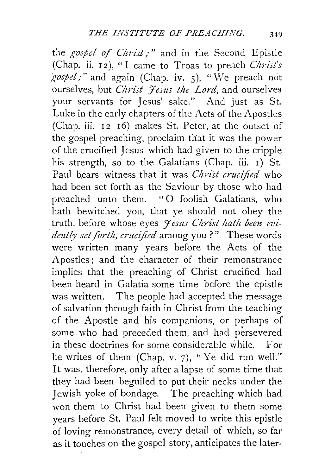the *gospel of Christ*;" and in the Second Epistle (Chap. ii. 12), "I came to Troas to preach *Christ's gospel*," and again (Chap. iv. 5), "We preach not ourselves, but *Christ 'Jesus the Lord*, and ourselves your servants for Jesus' sake." And just as St. Luke in the early chapters of the Acts of the Apostles (Chap. iii.  $12-16$ ) makes St. Peter, at the outset of the gospel preaching, proclaim that it was the power of the crucified Jesus which had given to the cripple his strength, so to the Galatians (Chap. iii. 1) St. Paul bears witness that it was *Christ crucified* who had been set forth as the Saviour by those who had preached unto them. "0 foolish Galatians, who hath bewitched you, that ye should not obey the truth, before whose eyes *Jesus Christ hath been evidmtly set forth, crucified* among you ? " These words were written many years before the Acts of the Apostles; and the character of their remonstrance implies that the preaching of Christ crucified had been heard in Galatia some time before the epistle was written. The people had accepted the message of salvation through faith in Christ from the teaching of the Apostle and his companions, or perhaps of some who had preceded them, and had persevered in these doctrines for some considerable while. For he writes of them (Chap. v. 7), "Ye did run well." It was. therefore, only after a lapse of some time that they had been beguiled to put their necks under the Jewish yoke of bondage. The preaching which had won them to Christ had been given to them some years before St. Paul felt moved to write this epistle of loving remonstrance, every detail of which, so far as it touches on the gospel story, anticipates the later-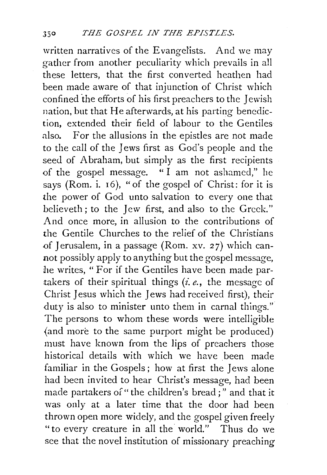written narratives of the Evangelists. And we may gather from another peculiarity which prevails in all these letters, that the first converted heathen had been made aware of that injunction of Christ which confined the efforts of his first preachers to the Jewish nation, but that He afterwards, at his parting benediction, extended their field of labour to the Gentiles also. For the allusions in the epistles are not made to the call of the Jews first as God's people and the seed of Abraham, but simply as the first recipients of the gospel message. " I am not ashamed," he says (Rom. i. 16), "of the gospel of Christ: for it is the power of God unto salvation to every one that believeth; to the Jew first, and also to the Greek." And once more, in allusion to the contributions of the Gentile Churches to the relief of the Christians .of Jerusalem, in a passage (Rom. xv. *2* 7) which cannot possibly apply to anything but the gospel message, he writes, " For if the Gentiles have been made partakers of their spiritual things *(i.e.,* the message of Christ Jesus which the Jews had received first), their duty is also to minister unto them in carnal things." The persons to whom these words were intelligible (and more to the same purport might be produced) must have known from the lips of preachers those historical details with which we have been made familiar in the Gospels; how at first the Jews alone had been invited to hear Christ's message, had been made partakers of "the children's bread;" and that it was only at a later time that the door had been thrown open more widely, and the gospel given freely "to every creature in all the· world." Thus do we see that the novel institution of missionary preaching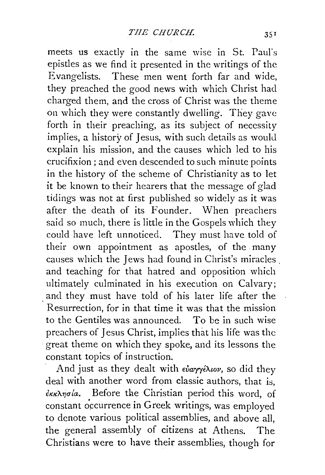meets us exactly in the same wise in St. Paul"s epistles as we find it presented in the writings of the Evangelists. These men went forth far and wide, they preached the good news with which Christ had charged them, and the cross of Christ was the theme on which they were constantly dwelling. They gave forth in their preaching, as its subject of necessity implies, a history of Jesus, with such details as would explain his mission, and the causes which led to his crucifixion ; and even descended to such minute points in the history of the scheme of Christianity as to let it be known to their hearers that the message of glad tidings was not at first published so widely as it was after the death of its Founder. When preachers said so much, there is little in the Gospels which they could have left unnoticed. They must have told of their own appointment as apostles, of the many causes which the Jews had found in Christ's miracles . and teaching for that hatred and opposition which ultimately culminated in his execution on Calvary; and they must have told of his later life after the Resurrection, for in that time it was that the mission to the Gentiles was announced. To be in such wise preachers of Jesus Christ, implies that his life was the great theme on which they spoke, and its lessons the constant topics of instruction.

And just as they dealt with *εὐαγγέλιον*, so did they deal with another word from classic authors, that is,  $\epsilon$ <sub>KKλησ</sub>ίa. Before the Christian period this word, of constant occurrence in Greek writings, was employed to denote various political assemblies, and above all, the general assembly of citizens at Athens. The Christians were to have their assemblies, though for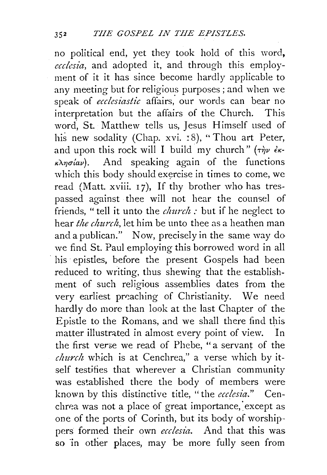no political end, yet they took hold of this word, *ecclcsia,* and adopted it, and through this employment of it it has since become hardly applicable to any meeting but for religious purposes; and when we speak of *ecclesiastic* affairs, our words can bear no interpretation but the affairs of the Church. This word, St. Matthew tells us, Jesus Himself used of his new sodality (Chap. xvi. 18), "Thou art Peter, and upon this rock will I build my church" ( $\tau \dot{\gamma} v \dot{\epsilon} \kappa$ - $\kappa\lambda\eta\sigma\omega$ . And speaking again of the functions which this body should exercise in times to come, we read (Matt. xviii. 17). If thy brother who has trespassed against thee will not hear the counsel of friends, " tell it unto the *clmrch :* but if he neglect to hear *the church*, let him be unto thee as a heathen man and a publican." Now, precisely in the same way do we find St. Paul employing this borrowed word in all his epistles, before the present Gospels had been reduced to writing, thus shewing that the establishment of such religious assemblies dates from the very earliest preaching of Christianity. We need hardly do more than look at the last Chapter of the Epistle to the Romans, and we shall there find this matter illustrated in almost every point of view. In the first verse we read of Phebe, "a servant of the *church* which is at Cenchrea," a verse which by itself testifies that wherever a Christian community was established there the body of members were known by this distinctive title, "the *ecc!esia."* Cenchrea was not a place of great importance, except as one of the ports of Corinth, but its body of worship·· pers formed their own *ecclesia*. And that this was so in other places, may be more fully seen from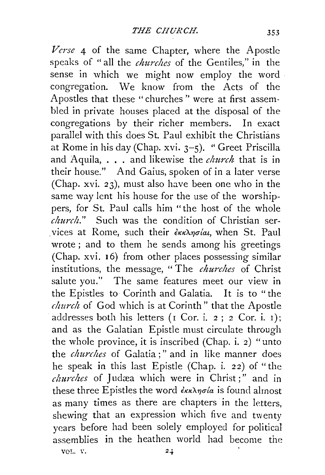*Verse* 4 of the same Chapter, where the Apostle speaks of "all the *churches* of the Gentiles," in the sense in which we might now employ the word congregation. We know from the Acts of the Apostles that these "churches" were at first assembled in private houses placed at the disposal of the congregations by their richer members. In exact parallel with this does St. Paul exhibit the Christians at Rome in his day (Chap. xvi. 3-5). " Greet Priscilla and Aquila, . • . and likewise the *church* that is in their house." And Gaius, spoken of in a later verse (Chap. xvi. 23), must also have been one who in the same way lent his house for the use of the worshippers, for St. Paul calls him "the host of the whole *church."* Such was the condition of Christian ser vices at Rome, such their  $\frac{\partial \kappa}{\partial n} \frac{\partial \kappa}{\partial n}$ , when St. Paul wrote ; and to them he sends among his greetings (Chap. xvi. 16) from other places possessing similar institutions, the message, " The *churches* of Christ salute you." The same features meet our view in the Epistles to Corinth and Galatia. It is to "the *church* of God which is at Corinth" that the Apostle addresses both his letters ( $r$  Cor. i.  $2$ ;  $2$  Cor. i.  $1$ ); and as the Galatian Epistle must circulate through the whole province, it is inscribed (Chap. i. 2) "unto the *churches* of Galatia;" and in like manner does he speak in this last Epistle (Chap. i. 22) of "the *churches* of Judæa which were in Christ;" and in these three Epistles the word  $\frac{\partial K}{\partial \rho}$  *ekkhangla* is found almost as many times as there are chapters in the letters, shewing that an expression which five and twenty years before had been solely employed for political assemblies in the heathen world had become the

VOL. V.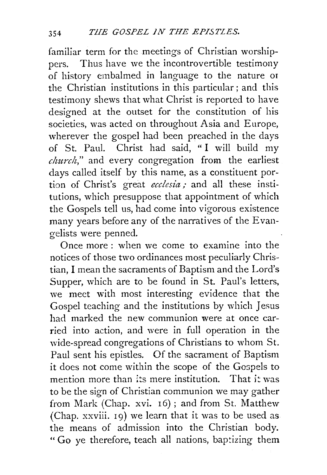familiar term for the meetings of Christian worshippers. Thus have we the incontrovertible testimony of history embalmed in language to the nature or the Christian institutions in this particular; and this testimony shews that what Christ is reported to have designed at the outset for the constitution of his societies, was acted on throughout Asia and Europe, wherever the gospel had been preached in the days of St. Paul. Christ had said, " I will build my *church,"* and every congregation from the earliest days called itself by this name, as a constituent portion of Christ's great *ecclesia;* and all these institutions, which presuppose that appointment of which the Gospels tell us, had come into vigorous existence many years before any of the narratives of the Evangelists were penned.

Once more: when we come to examine into the notices of those two ordinances most peculiarly Christian, I mean the sacraments of Baptism and the Lord's Supper, which are to be found in St. Paul's letters, we meet with most interesting evidence that the Gospel teaching and the institutions by which Jesus had marked the new communion were at once carried into action, and were in full operation in the wide-spread congregations of Christians to whom St. Paul sent his epistles. Of the sacrament of Baptism it does not come within the scope of the Gospels to mention more than its mere institution. That it was to be the sign of Christian communion we may gather from Mark (Chap. xvi. 16) ; and from St. Matthew (Chap. xxviii. 19) we learn that it was to be used as the means of admission into the Christian body. " Go ye therefore, teach all nations, baptizing them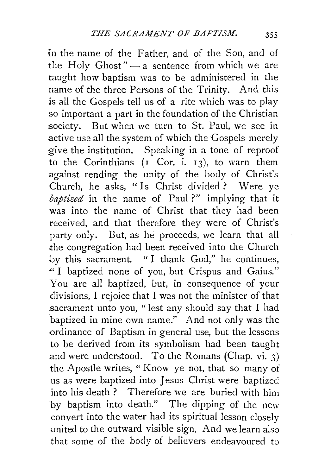in the name of the Father, and of the Son, and of the Holy Ghost" $-$  a sentence from which we are taught how baptism was to be administered in the name of the three Persons of the Trinity. And this is all the Gospels tell us of a rite which was to play so important  $a$  part in the foundation of the Christian society. But when we turn to St. Paul, we see in active use all the system of which the Gospels merely give the institution. Speaking in a tone of reproof to the Corinthians  $(I \text{Cor. } i, 13)$ , to warn them against rending the unity of the body of Christ's Church, he asks, "Is Christ divided? Were ve *baptized* in the name of Paul?" implying that it was into the name of Christ that they had been received, and that therefore they were of Christ's party only. But, as he proceeds, we learn that all the congregation had been received into the Church by this sacrament. " I thank God," he continues, ·" I baptized none of you, but Crispus and Gaius." You are all baptized, but, in consequence of your divisions, I rejoice that I was not the minister of that .sacrament unto you, "lest any should say that I had baptized in mine own name." And not only was the ·Ordinance of Baptism in general use, but the lessons to be derived from its symbolism had been taught and were understood. To the Romans (Chap. vi.  $3$ ) the Apostle writes, " Know ye not, that so many of us as were baptized into Jesus Christ were baptized into his death ? Therefore we are buried with him by baptism into death." The dipping of the new convert into the water had its spiritual lesson closely united to the outward visible sign. And we learn also .that some of the body of believers endeavoured to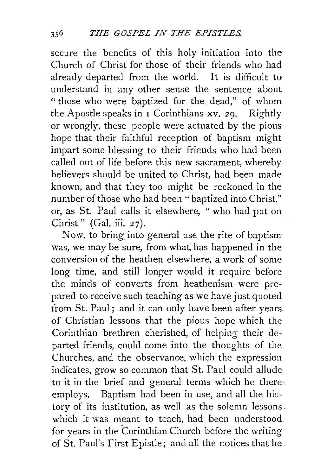secure the benefits of this holy initiation into the Church of Christ for those of their friends who had already departed from the world. It is difficult to understand in any other sense the sentence about " those who were baptized for the dead," of whom the Apostle speaks in I Corinthians xv. 29. Rightly or wrongly, these people were actuated by the pious hope that their faithful reception of baptism might impart some blessing to their friends who had been called out of life before this new sacrament, whereby believers should be united to Christ, had been made known, and that they too might be reckoned in the number of those who had been "baptized into Christ," or, as St. Paul calls it elsewhere, "who had put on Christ" (Gal. iii. 27).

Now, to bring into general use the rite of baptism was, we may be sure, from what, has happened in the conversion of the heathen elsewhere, a work of some long time, and still longer would it require before the minds of converts from heathenism were prepared to receive such teaching as we have just quoted from St. Paul; and it can only have been after years of Christian lessons that the pious hope which the Corinthian brethren cherished, of helping their departed friends, could come into the thoughts of the Churches, and the observance, which the expression indicates, grow so common that St. Paul could allude to it in the brief and general terms which he there employs. Baptism had been in use, and all the history of its institution, as well as the solemn lessons. which it was meant to teach, had been understood. for years in the Corinthian Church before the writing of St. Paul's First Epistle; and all the rotices that he: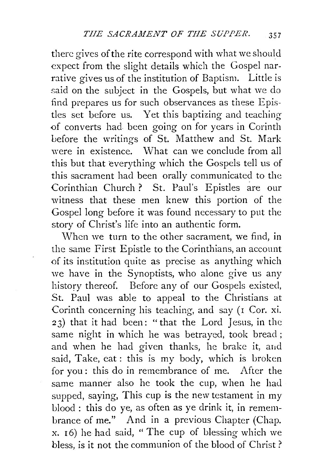there gives of the rite correspond with what we should expect from the slight details which the Gospel narrative gives us of the institution of Baptism. Little is said on the subject in the Gospels, but what we do find prepares us for such observances as these Epistles set before us. Yet this baptizing and teaching of converts had been going on for years in Corinth before the writings of St. Matthew and St. Mark were in existence. What can we conclude from all this but that everything which the Gospels tell us of this sacrament had been orally communicated to the Corinthian Church ? St. Paul's Epistles are our witness that these men knew this portion of the Gospel long before it was found necessary to put the story of Christ's life into an authentic form.

When we turn to the other sacrament, we find, in the same First Epistle to the Corinthians, an account of its institution quite as precise as anything which we have in the Synoptists, who alone give us any history thereof. Before any of our Gospels existed, St. Paul was able to appeal to the Christians at Corinth concerning his teaching, and say (1 Cor. xi. 23) that it had been: "that the Lord Jesus, in the same night in which he was betrayed, took bread ; and when he had given thanks, he brake it, and said, Take, eat: this is my body, which is broken for you : this do in remembrance of me. After the same manner also he took the cup, when he had supped, saying, This cup is the new testament in my blood : this do ye, as often as ye drink it, in remembrance of me." And in a previous Chapter (Chap. x. 16) he had said, "The cup of blessing which we bless, is it not the communion of the blood of Christ?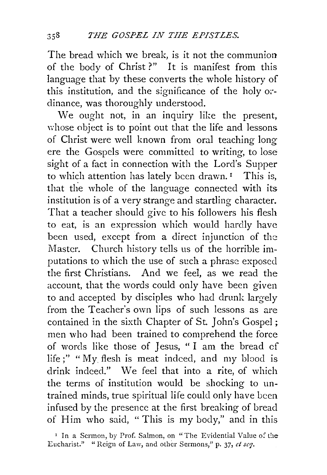The bread which we break, is it not the communion of the body of Christ ?" It is manifest from this language that by these converts the whole history of this institution, and the significance of the holy *oi·* dinance, was thoroughly understood.

We ought not, in an inquiry like the present, whose object is to point out that the life and lessons of Christ were well known from oral teaching long ere the Gospels were committed to writing, to lose sight of a fact in connection with the Lord's Supper to which attention has lately been drawn.<sup> $I$ </sup> This is, that the whole of the language connected with its institution is of a very strange and startling character. That a teacher should give to his followers his flesh to eat, is an expression which would hardly have been used, except from a direct injunction of the Master. Church history tells us of the horrible imputations to which the use of such a phrase exposed the first Christians. And we feel, as we read the account, that the words could only have been given to and accepted by disciples who had drunk largely from the Teacher's own lips of such lessons as are contained in the sixth Chapter of St. John's Gospel ; men who had been trained to comprehend the force of words like those of Jesus, " I am the bread cf life;" "My flesh is meat indeed, and my blood is drink indeed." We feel that into a rite, of which the terms of institution would be shocking to untrained minds, true spiritual life could only have been infused by the presence at the first breaking of bread of Him who said, "This is my body," and in this

<sup>1</sup> In a Sermon, by Prof. Salmon, on "The Evidential Value of the Eucharist." "Reign of Law, and other Sermons," p. 37, *et sc7.*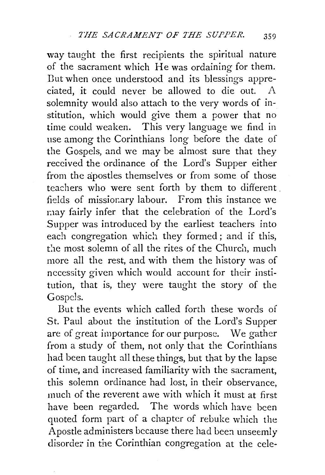way taught the first recipients the spiritual nature of the sacrament which He was ordaining for them. Dut when once understood and its blessings appreciated, it could never be allowed to die out. solemnity would also attach to the very words of institution, which would give them a power that no time could weaken. This very language we find in use among the Corinthians long before the date of the Gospels, and we may be almost sure that they received the ordinance of the Lord's Supper either from the apostles themselves or from some of those teachers who were sent forth by them to different . fields of missionary labour. From this instance we may fairly infer that the celebration of the Lord's Supper was introduced by the earliest teachers into each congregation which they formed; and if this, the most solemn of all the rites of the Church, much more all the rest, and with them the history was of necessity given which would account for their institution, that is, they were taught the story of the Gospels.

But the events which called forth these words of St. Paul about the institution of the Lord's Supper are of great importance for our purpose. We gather from a study of them, not only that the Corinthians had been taught all these things, but that by the lapse of time, and increased familiarity with the sacrament, this solemn ordinance had lost, in their observance, much of the reverent awe with which it must at first have been regarded. The words which have been quoted form part of a chapter of rebuke which the Apostle administers because there had been unseemly disorder in the Corinthian congregation at the cele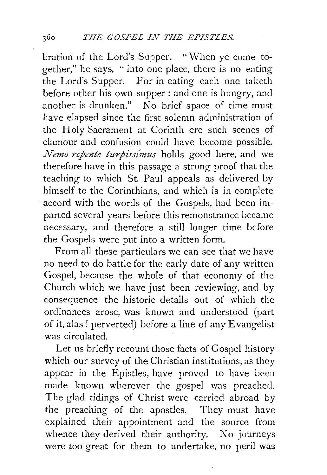bration of the Lord's Supper. "When ye come together," he says, " into one place, there is no eating the Lord's Supper. For in eating each one taketh before other his own supper : and one is hungry, and another is drunken." No brief space of time must have elapsed since the first solemn administration of the Holy Sacrament at Corinth ere such scenes of clamour and confusion could have become possible. *Nemo repente turpissimus* holds good here, and we therefore have in this passage a strong proof that the teaching to which St. Paul appeals as delivered by himself to the Corinthians, and which is in complete accord with the words of the Gospels, had been imparted several years before this remonstrance became necessary, and therefore a still longer time before the Gospels were put into a written form.

From all these particulars we can see that we have no need to do battle for the early date of any written Gospel, because the whole of that economy of the Church which we have just been reviewing, and by consequence the historic details out of which the ordinances arose, was known and understood (part of it, alas! perverted) before a line of any Evangelist was circulated.

Let us briefly recount those facts of Gospel history which our survey of the Christian institutions, as they appear in the Epistles, have proved to have been made known wherever the gospel was preached. The glad tidings of Christ were carried abroad by the preaching of the apostles. They must have explained their appointment and the source from whence they derived their authority. No journeys were too great for them to undertake, no peril was